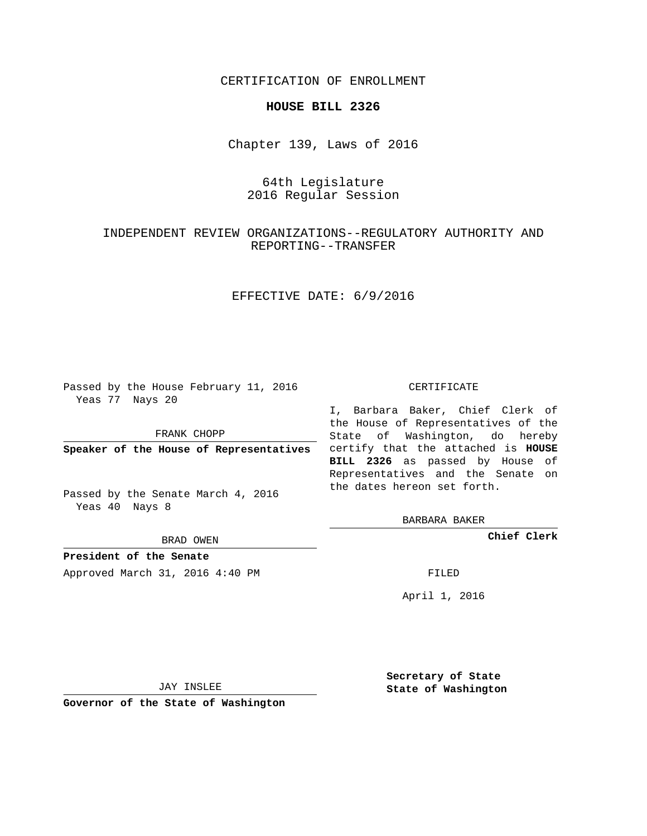CERTIFICATION OF ENROLLMENT

#### **HOUSE BILL 2326**

Chapter 139, Laws of 2016

# 64th Legislature 2016 Regular Session

## INDEPENDENT REVIEW ORGANIZATIONS--REGULATORY AUTHORITY AND REPORTING--TRANSFER

### EFFECTIVE DATE: 6/9/2016

Passed by the House February 11, 2016 Yeas 77 Nays 20

FRANK CHOPP

Passed by the Senate March 4, 2016 Yeas 40 Nays 8

BRAD OWEN

**President of the Senate**

Approved March 31, 2016 4:40 PM FILED

#### CERTIFICATE

**Speaker of the House of Representatives** certify that the attached is **HOUSE** I, Barbara Baker, Chief Clerk of the House of Representatives of the State of Washington, do hereby **BILL 2326** as passed by House of Representatives and the Senate on the dates hereon set forth.

BARBARA BAKER

**Chief Clerk**

April 1, 2016

JAY INSLEE

**Governor of the State of Washington**

**Secretary of State State of Washington**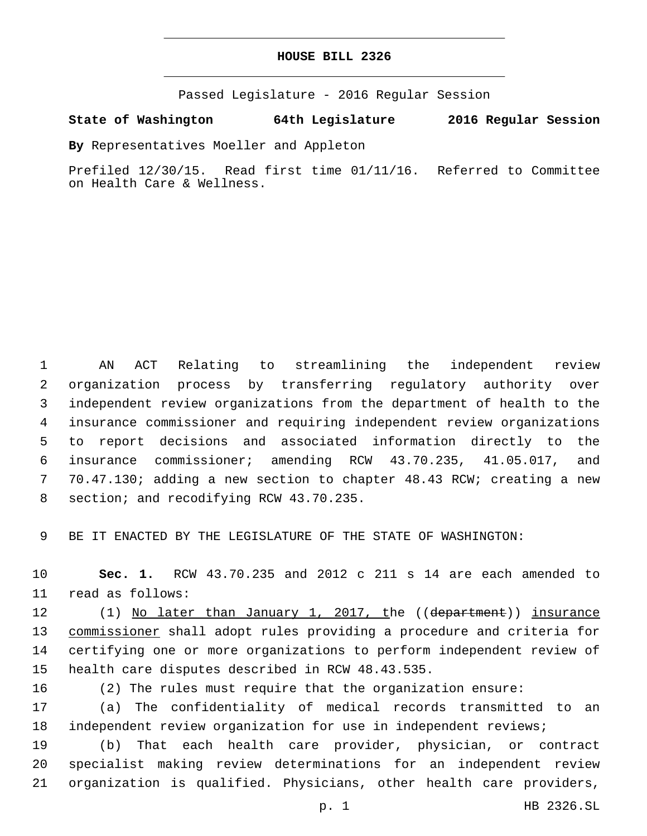#### **HOUSE BILL 2326**

Passed Legislature - 2016 Regular Session

**State of Washington 64th Legislature 2016 Regular Session**

**By** Representatives Moeller and Appleton

Prefiled 12/30/15. Read first time 01/11/16. Referred to Committee on Health Care & Wellness.

 AN ACT Relating to streamlining the independent review organization process by transferring regulatory authority over independent review organizations from the department of health to the insurance commissioner and requiring independent review organizations to report decisions and associated information directly to the insurance commissioner; amending RCW 43.70.235, 41.05.017, and 70.47.130; adding a new section to chapter 48.43 RCW; creating a new 8 section; and recodifying RCW 43.70.235.

BE IT ENACTED BY THE LEGISLATURE OF THE STATE OF WASHINGTON:

 **Sec. 1.** RCW 43.70.235 and 2012 c 211 s 14 are each amended to 11 read as follows:

12 (1) No later than January 1, 2017, the ((department)) insurance commissioner shall adopt rules providing a procedure and criteria for certifying one or more organizations to perform independent review of 15 health care disputes described in RCW 48.43.535.

(2) The rules must require that the organization ensure:

 (a) The confidentiality of medical records transmitted to an independent review organization for use in independent reviews;

 (b) That each health care provider, physician, or contract specialist making review determinations for an independent review organization is qualified. Physicians, other health care providers,

p. 1 HB 2326.SL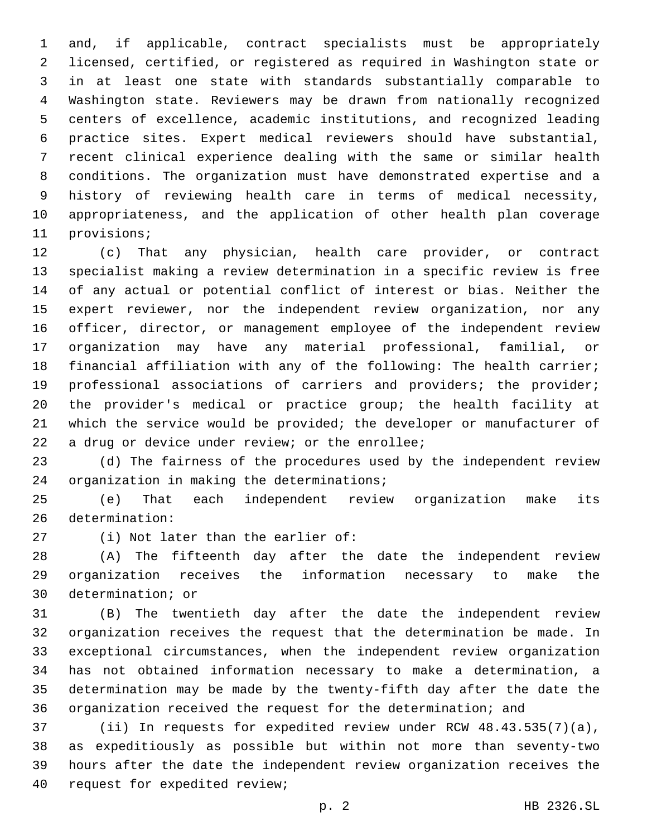and, if applicable, contract specialists must be appropriately licensed, certified, or registered as required in Washington state or in at least one state with standards substantially comparable to Washington state. Reviewers may be drawn from nationally recognized centers of excellence, academic institutions, and recognized leading practice sites. Expert medical reviewers should have substantial, recent clinical experience dealing with the same or similar health conditions. The organization must have demonstrated expertise and a history of reviewing health care in terms of medical necessity, appropriateness, and the application of other health plan coverage 11 provisions;

 (c) That any physician, health care provider, or contract specialist making a review determination in a specific review is free of any actual or potential conflict of interest or bias. Neither the expert reviewer, nor the independent review organization, nor any officer, director, or management employee of the independent review organization may have any material professional, familial, or financial affiliation with any of the following: The health carrier; 19 professional associations of carriers and providers; the provider; the provider's medical or practice group; the health facility at which the service would be provided; the developer or manufacturer of 22 a drug or device under review; or the enrollee;

 (d) The fairness of the procedures used by the independent review 24 organization in making the determinations;

 (e) That each independent review organization make its 26 determination:

27 (i) Not later than the earlier of:

 (A) The fifteenth day after the date the independent review organization receives the information necessary to make the 30 determination; or

 (B) The twentieth day after the date the independent review organization receives the request that the determination be made. In exceptional circumstances, when the independent review organization has not obtained information necessary to make a determination, a determination may be made by the twenty-fifth day after the date the organization received the request for the determination; and

 (ii) In requests for expedited review under RCW 48.43.535(7)(a), as expeditiously as possible but within not more than seventy-two hours after the date the independent review organization receives the 40 request for expedited review;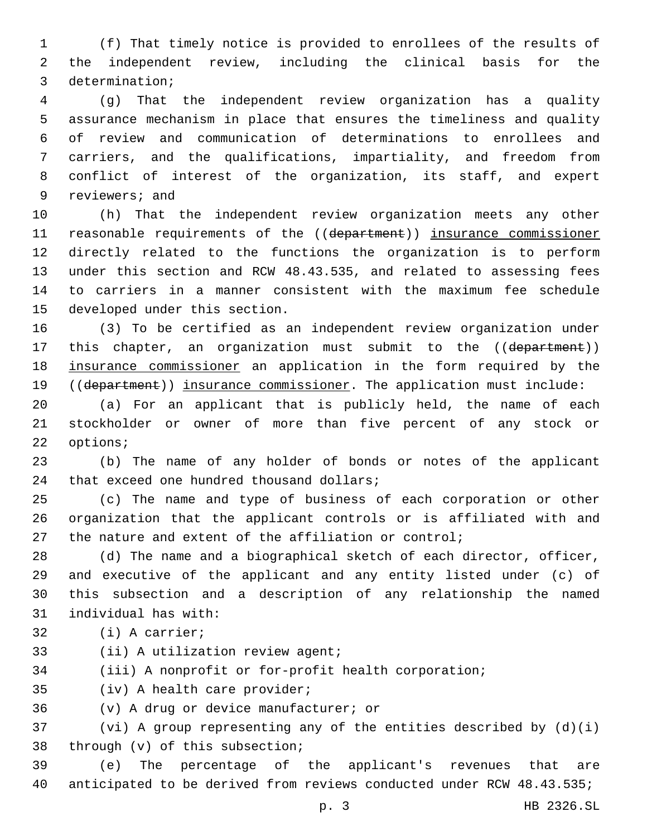(f) That timely notice is provided to enrollees of the results of the independent review, including the clinical basis for the 3 determination;

 (g) That the independent review organization has a quality assurance mechanism in place that ensures the timeliness and quality of review and communication of determinations to enrollees and carriers, and the qualifications, impartiality, and freedom from conflict of interest of the organization, its staff, and expert 9 reviewers; and

 (h) That the independent review organization meets any other 11 reasonable requirements of the ((department)) insurance commissioner directly related to the functions the organization is to perform under this section and RCW 48.43.535, and related to assessing fees to carriers in a manner consistent with the maximum fee schedule 15 developed under this section.

 (3) To be certified as an independent review organization under 17 this chapter, an organization must submit to the ((department)) insurance commissioner an application in the form required by the 19 ((department)) insurance commissioner. The application must include:

 (a) For an applicant that is publicly held, the name of each stockholder or owner of more than five percent of any stock or 22 options;

 (b) The name of any holder of bonds or notes of the applicant 24 that exceed one hundred thousand dollars;

 (c) The name and type of business of each corporation or other organization that the applicant controls or is affiliated with and the nature and extent of the affiliation or control;

 (d) The name and a biographical sketch of each director, officer, and executive of the applicant and any entity listed under (c) of this subsection and a description of any relationship the named 31 individual has with:

- 32 (i) A carrier;
- 33 (ii) A utilization review agent;

(iii) A nonprofit or for-profit health corporation;

35 (iv) A health care provider;

36 (v) A drug or device manufacturer; or

 (vi) A group representing any of the entities described by (d)(i) 38 through (v) of this subsection;

 (e) The percentage of the applicant's revenues that are anticipated to be derived from reviews conducted under RCW 48.43.535;

p. 3 HB 2326.SL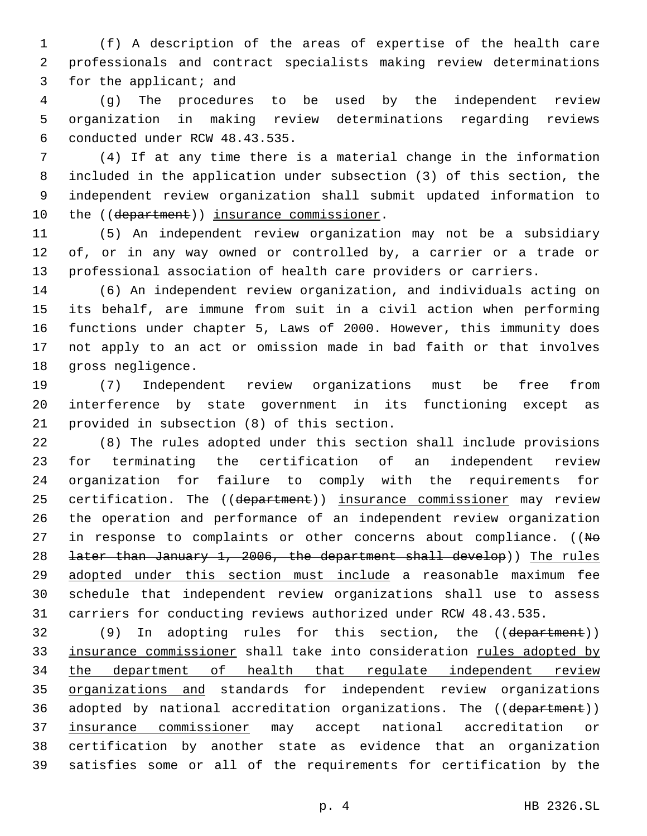(f) A description of the areas of expertise of the health care professionals and contract specialists making review determinations 3 for the applicant; and

 (g) The procedures to be used by the independent review organization in making review determinations regarding reviews 6 conducted under RCW 48.43.535.

 (4) If at any time there is a material change in the information included in the application under subsection (3) of this section, the independent review organization shall submit updated information to 10 the ((department)) insurance commissioner.

 (5) An independent review organization may not be a subsidiary of, or in any way owned or controlled by, a carrier or a trade or professional association of health care providers or carriers.

 (6) An independent review organization, and individuals acting on its behalf, are immune from suit in a civil action when performing functions under chapter 5, Laws of 2000. However, this immunity does not apply to an act or omission made in bad faith or that involves 18 gross negligence.

 (7) Independent review organizations must be free from interference by state government in its functioning except as 21 provided in subsection (8) of this section.

 (8) The rules adopted under this section shall include provisions for terminating the certification of an independent review organization for failure to comply with the requirements for 25 certification. The ((department)) insurance commissioner may review the operation and performance of an independent review organization 27 in response to complaints or other concerns about compliance. ((No later than January 1, 2006, the department shall develop)) The rules adopted under this section must include a reasonable maximum fee schedule that independent review organizations shall use to assess carriers for conducting reviews authorized under RCW 48.43.535.

 (9) In adopting rules for this section, the ((department)) 33 insurance commissioner shall take into consideration rules adopted by the department of health that regulate independent review organizations and standards for independent review organizations 36 adopted by national accreditation organizations. The ((department)) insurance commissioner may accept national accreditation or certification by another state as evidence that an organization satisfies some or all of the requirements for certification by the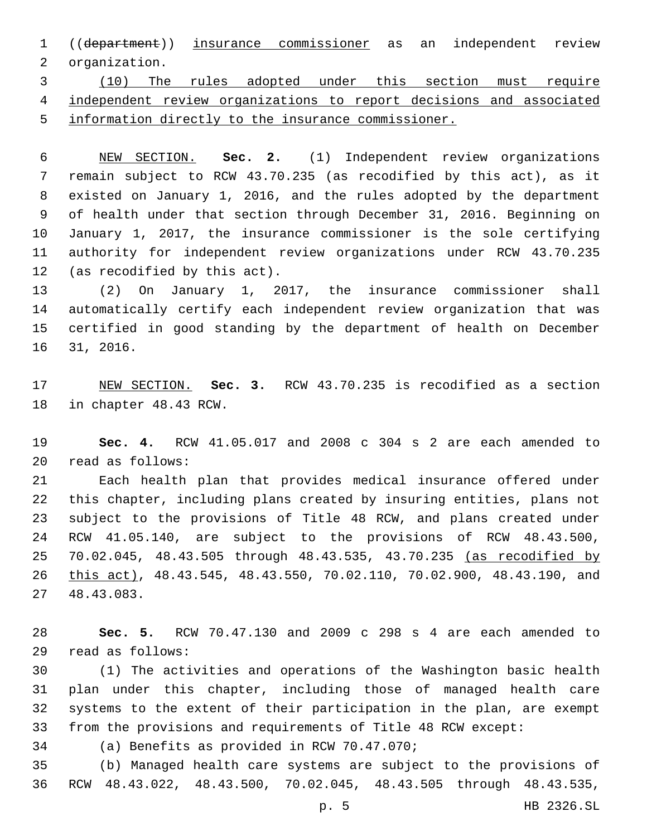((department)) insurance commissioner as an independent review 2 organization.

 (10) The rules adopted under this section must require independent review organizations to report decisions and associated information directly to the insurance commissioner.

 NEW SECTION. **Sec. 2.** (1) Independent review organizations remain subject to RCW 43.70.235 (as recodified by this act), as it existed on January 1, 2016, and the rules adopted by the department of health under that section through December 31, 2016. Beginning on January 1, 2017, the insurance commissioner is the sole certifying authority for independent review organizations under RCW 43.70.235 (as recodified by this act).

 (2) On January 1, 2017, the insurance commissioner shall automatically certify each independent review organization that was certified in good standing by the department of health on December 16 31, 2016.

 NEW SECTION. **Sec. 3.** RCW 43.70.235 is recodified as a section in chapter 48.43 RCW.

 **Sec. 4.** RCW 41.05.017 and 2008 c 304 s 2 are each amended to read as follows:20

 Each health plan that provides medical insurance offered under this chapter, including plans created by insuring entities, plans not subject to the provisions of Title 48 RCW, and plans created under RCW 41.05.140, are subject to the provisions of RCW 48.43.500, 70.02.045, 48.43.505 through 48.43.535, 43.70.235 (as recodified by this act), 48.43.545, 48.43.550, 70.02.110, 70.02.900, 48.43.190, and 48.43.083.27

 **Sec. 5.** RCW 70.47.130 and 2009 c 298 s 4 are each amended to read as follows:29

 (1) The activities and operations of the Washington basic health plan under this chapter, including those of managed health care systems to the extent of their participation in the plan, are exempt from the provisions and requirements of Title 48 RCW except:

34 (a) Benefits as provided in RCW 70.47.070;

 (b) Managed health care systems are subject to the provisions of RCW 48.43.022, 48.43.500, 70.02.045, 48.43.505 through 48.43.535,

p. 5 HB 2326.SL